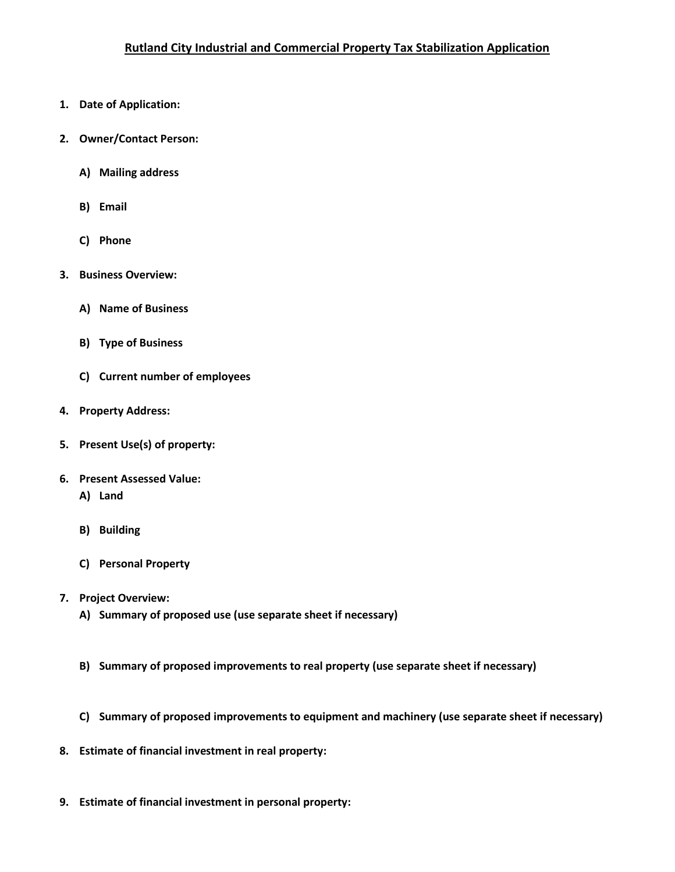- **1. Date of Application:**
- **2. Owner/Contact Person:**
	- **A) Mailing address**
	- **B) Email**
	- **C) Phone**
- **3. Business Overview:**
	- **A) Name of Business**
	- **B) Type of Business**
	- **C) Current number of employees**
- **4. Property Address:**
- **5. Present Use(s) of property:**
- **6. Present Assessed Value:**
	- **A) Land**
	- **B) Building**
	- **C) Personal Property**
- **7. Project Overview:**
	- **A) Summary of proposed use (use separate sheet if necessary)**
	- **B) Summary of proposed improvements to real property (use separate sheet if necessary)**
	- **C) Summary of proposed improvements to equipment and machinery (use separate sheet if necessary)**
- **8. Estimate of financial investment in real property:**
- **9. Estimate of financial investment in personal property:**